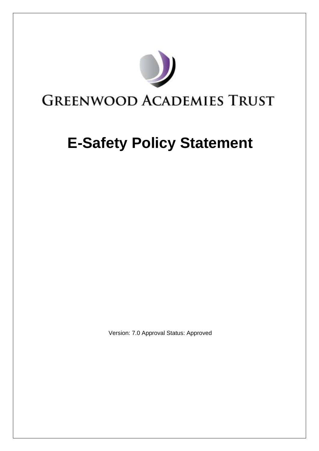# **GREENWOOD ACADEMIES TRUST**

## **E-Safety Policy Statement**

Version: 7.0 Approval Status: Approved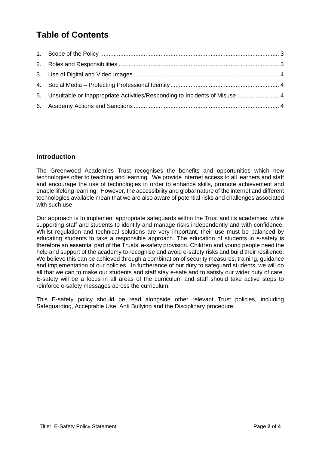### **Table of Contents**

| 5. Unsuitable or Inappropriate Activities/Responding to Incidents of Misuse  4 |  |
|--------------------------------------------------------------------------------|--|
|                                                                                |  |

#### **Introduction**

The Greenwood Academies Trust recognises the benefits and opportunities which new technologies offer to teaching and learning. We provide internet access to all learners and staff and encourage the use of technologies in order to enhance skills, promote achievement and enable lifelong learning. However, the accessibility and global nature of the internet and different technologies available mean that we are also aware of potential risks and challenges associated with such use.

Our approach is to implement appropriate safeguards within the Trust and its academies, while supporting staff and students to identify and manage risks independently and with confidence. Whilst regulation and technical solutions are very important, their use must be balanced by educating students to take a responsible approach. The education of students in e-safety is therefore an essential part of the Trusts' e-safety provision. Children and young people need the help and support of the academy to recognise and avoid e-safety risks and build their resilience. We believe this can be achieved through a combination of security measures, training, guidance and implementation of our policies. In furtherance of our duty to safeguard students, we will do all that we can to make our students and staff stay e-safe and to satisfy our wider duty of care. E-safety will be a focus in all areas of the curriculum and staff should take active steps to reinforce e-safety messages across the curriculum.

This E-safety policy should be read alongside other relevant Trust policies, including Safeguarding, Acceptable Use, Anti Bullying and the Disciplinary procedure.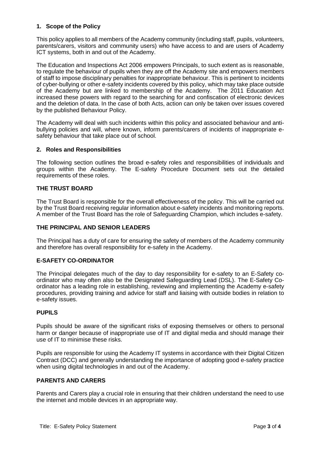#### <span id="page-2-0"></span>**1. Scope of the Policy**

This policy applies to all members of the Academy community (including staff, pupils, volunteers, parents/carers, visitors and community users) who have access to and are users of Academy ICT systems, both in and out of the Academy.

The Education and Inspections Act 2006 empowers Principals, to such extent as is reasonable, to regulate the behaviour of pupils when they are off the Academy site and empowers members of staff to impose disciplinary penalties for inappropriate behaviour. This is pertinent to incidents of cyber-bullying or other e-safety incidents covered by this policy, which may take place outside of the Academy but are linked to membership of the Academy. The 2011 Education Act increased these powers with regard to the searching for and confiscation of electronic devices and the deletion of data. In the case of both Acts, action can only be taken over issues covered by the published Behaviour Policy.

The Academy will deal with such incidents within this policy and associated behaviour and antibullying policies and will, where known, inform parents/carers of incidents of inappropriate esafety behaviour that take place out of school.

#### <span id="page-2-1"></span>**2. Roles and Responsibilities**

The following section outlines the broad e-safety roles and responsibilities of individuals and groups within the Academy. The E-safety Procedure Document sets out the detailed requirements of these roles.

#### **THE TRUST BOARD**

The Trust Board is responsible for the overall effectiveness of the policy. This will be carried out by the Trust Board receiving regular information about e-safety incidents and monitoring reports. A member of the Trust Board has the role of Safeguarding Champion, which includes e-safety.

#### **THE PRINCIPAL AND SENIOR LEADERS**

The Principal has a duty of care for ensuring the safety of members of the Academy community and therefore has overall responsibility for e-safety in the Academy.

#### **E-SAFETY CO-ORDINATOR**

The Principal delegates much of the day to day responsibility for e-safety to an E-Safety coordinator who may often also be the Designated Safeguarding Lead (DSL). The E-Safety Coordinator has a leading role in establishing, reviewing and implementing the Academy e-safety procedures, providing training and advice for staff and liaising with outside bodies in relation to e-safety issues.

#### **PUPILS**

Pupils should be aware of the significant risks of exposing themselves or others to personal harm or danger because of inappropriate use of IT and digital media and should manage their use of IT to minimise these risks.

Pupils are responsible for using the Academy IT systems in accordance with their Digital Citizen Contract (DCC) and generally understanding the importance of adopting good e-safety practice when using digital technologies in and out of the Academy.

#### **PARENTS AND CARERS**

Parents and Carers play a crucial role in ensuring that their children understand the need to use the internet and mobile devices in an appropriate way.